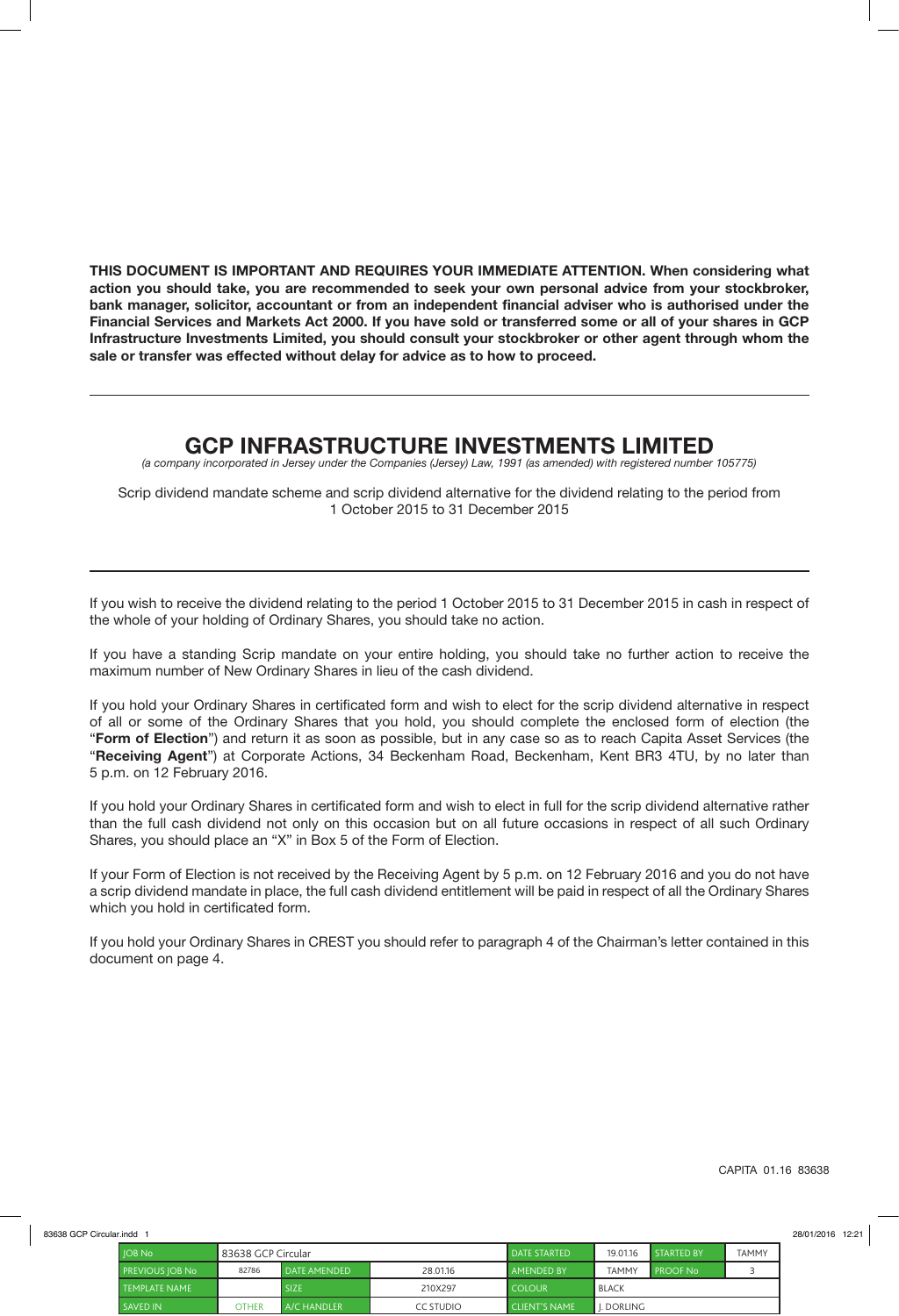**THIS DOCUMENT IS IMPORTANT AND REQUIRES YOUR IMMEDIATE ATTENTION. When considering what action you should take, you are recommended to seek your own personal advice from your stockbroker, bank manager, solicitor, accountant or from an independent financial adviser who is authorised under the Financial Services and Markets Act 2000. If you have sold or transferred some or all of your shares in GCP Infrastructure Investments Limited, you should consult your stockbroker or other agent through whom the sale or transfer was effected without delay for advice as to how to proceed.**

## **GCP INFRASTRUCTURE INVESTMENTS LIMITED**

*(a company incorporated in Jersey under the Companies (Jersey) Law, 1991 (as amended) with registered number 105775)*

Scrip dividend mandate scheme and scrip dividend alternative for the dividend relating to the period from 1 October 2015 to 31 December 2015

If you wish to receive the dividend relating to the period 1 October 2015 to 31 December 2015 in cash in respect of the whole of your holding of Ordinary Shares, you should take no action.

If you have a standing Scrip mandate on your entire holding, you should take no further action to receive the maximum number of New Ordinary Shares in lieu of the cash dividend.

If you hold your Ordinary Shares in certificated form and wish to elect for the scrip dividend alternative in respect of all or some of the Ordinary Shares that you hold, you should complete the enclosed form of election (the "**Form of Election**") and return it as soon as possible, but in any case so as to reach Capita Asset Services (the "**Receiving Agent**") at Corporate Actions, 34 Beckenham Road, Beckenham, Kent BR3 4TU, by no later than 5 p.m. on 12 February 2016.

If you hold your Ordinary Shares in certificated form and wish to elect in full for the scrip dividend alternative rather than the full cash dividend not only on this occasion but on all future occasions in respect of all such Ordinary Shares, you should place an "X" in Box 5 of the Form of Election.

If your Form of Election is not received by the Receiving Agent by 5 p.m. on 12 February 2016 and you do not have a scrip dividend mandate in place, the full cash dividend entitlement will be paid in respect of all the Ordinary Shares which you hold in certificated form.

If you hold your Ordinary Shares in CREST you should refer to paragraph 4 of the Chairman's letter contained in this document on page 4.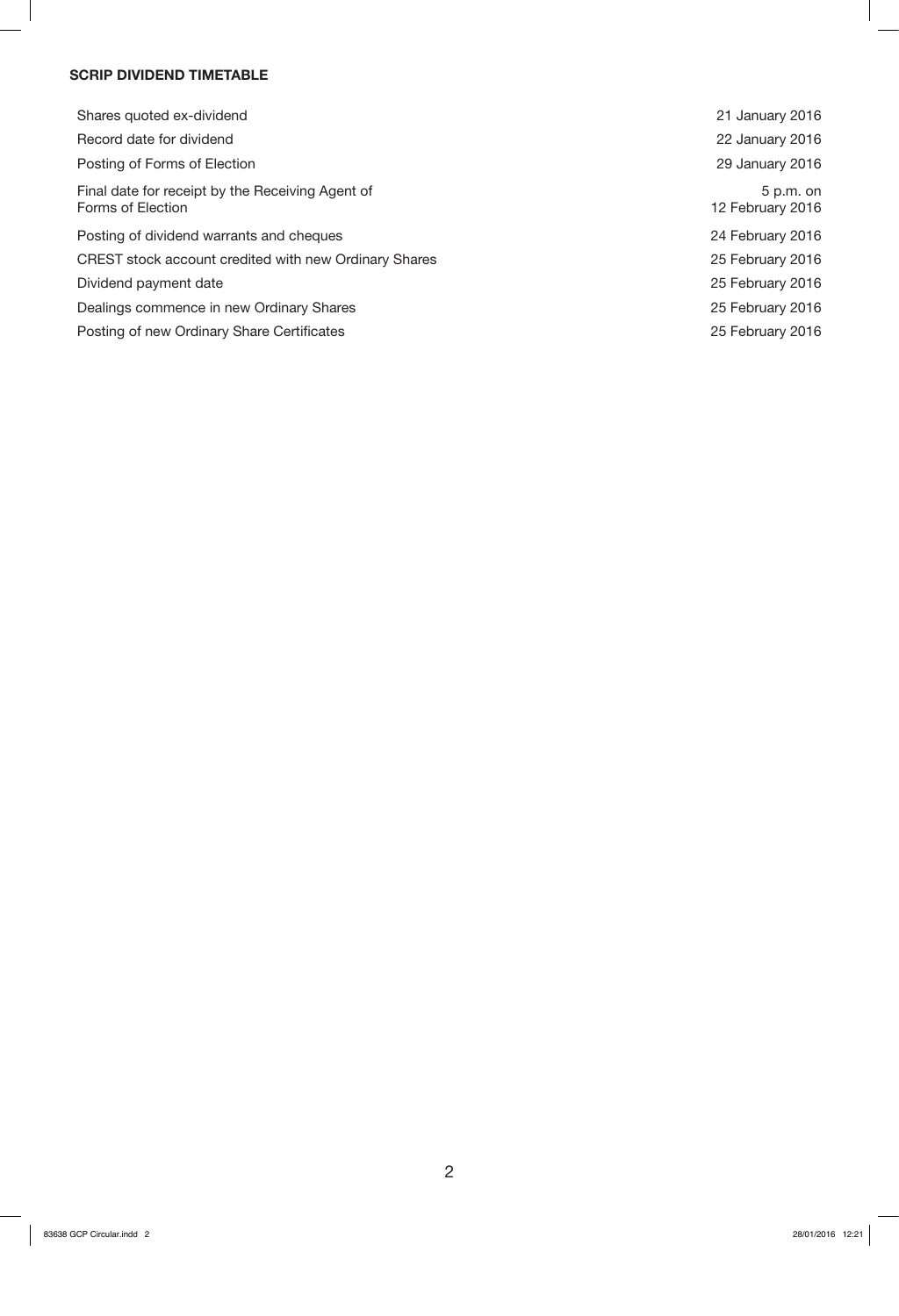## **SCRIP DIVIDEND TIMETABLE**

| Shares quoted ex-dividend                                             | 21 January 2016                 |
|-----------------------------------------------------------------------|---------------------------------|
| Record date for dividend                                              | 22 January 2016                 |
| Posting of Forms of Election                                          | 29 January 2016                 |
| Final date for receipt by the Receiving Agent of<br>Forms of Election | $5 p.m.$ on<br>12 February 2016 |
| Posting of dividend warrants and cheques                              | 24 February 2016                |
| CREST stock account credited with new Ordinary Shares                 | 25 February 2016                |
| Dividend payment date                                                 | 25 February 2016                |
| Dealings commence in new Ordinary Shares                              | 25 February 2016                |
| Posting of new Ordinary Share Certificates                            | 25 February 2016                |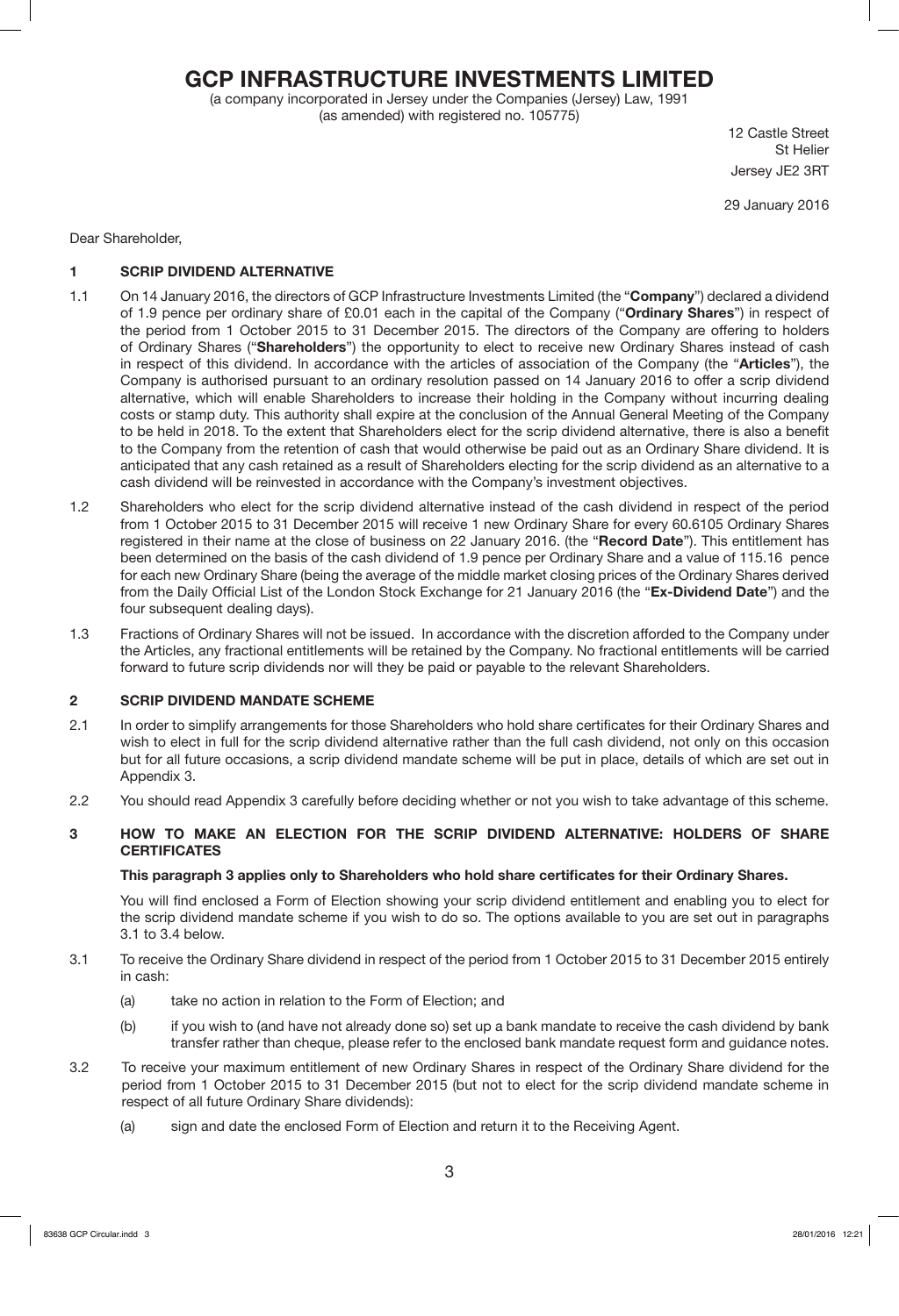# **GCP INFRASTRUCTURE INVESTMENTS LIMITED**

(a company incorporated in Jersey under the Companies (Jersey) Law, 1991 (as amended) with registered no. 105775)

12 Castle Street St Helier Jersey JE2 3RT

29 January 2016

Dear Shareholder,

## **1 SCRIP DIVIDEND ALTERNATIVE**

- 1.1 On 14 January 2016, the directors of GCP Infrastructure Investments Limited (the "**Company**") declared a dividend of 1.9 pence per ordinary share of £0.01 each in the capital of the Company ("**Ordinary Shares**") in respect of the period from 1 October 2015 to 31 December 2015. The directors of the Company are offering to holders of Ordinary Shares ("**Shareholders**") the opportunity to elect to receive new Ordinary Shares instead of cash in respect of this dividend. In accordance with the articles of association of the Company (the "**Articles**"), the Company is authorised pursuant to an ordinary resolution passed on 14 January 2016 to offer a scrip dividend alternative, which will enable Shareholders to increase their holding in the Company without incurring dealing costs or stamp duty. This authority shall expire at the conclusion of the Annual General Meeting of the Company to be held in 2018. To the extent that Shareholders elect for the scrip dividend alternative, there is also a benefit to the Company from the retention of cash that would otherwise be paid out as an Ordinary Share dividend. It is anticipated that any cash retained as a result of Shareholders electing for the scrip dividend as an alternative to a cash dividend will be reinvested in accordance with the Company's investment objectives.
- 1.2 Shareholders who elect for the scrip dividend alternative instead of the cash dividend in respect of the period from 1 October 2015 to 31 December 2015 will receive 1 new Ordinary Share for every 60.6105 Ordinary Shares registered in their name at the close of business on 22 January 2016. (the "**Record Date**"). This entitlement has been determined on the basis of the cash dividend of 1.9 pence per Ordinary Share and a value of 115.16 pence for each new Ordinary Share (being the average of the middle market closing prices of the Ordinary Shares derived from the Daily Official List of the London Stock Exchange for 21 January 2016 (the "**Ex-Dividend Date**") and the four subsequent dealing days).
- 1.3 Fractions of Ordinary Shares will not be issued. In accordance with the discretion afforded to the Company under the Articles, any fractional entitlements will be retained by the Company. No fractional entitlements will be carried forward to future scrip dividends nor will they be paid or payable to the relevant Shareholders.

## **2 SCRIP DIVIDEND MANDATE SCHEME**

- 2.1 In order to simplify arrangements for those Shareholders who hold share certificates for their Ordinary Shares and wish to elect in full for the scrip dividend alternative rather than the full cash dividend, not only on this occasion but for all future occasions, a scrip dividend mandate scheme will be put in place, details of which are set out in Appendix 3.
- 2.2 You should read Appendix 3 carefully before deciding whether or not you wish to take advantage of this scheme.

## **3 HOW TO MAKE AN ELECTION FOR THE SCRIP DIVIDEND ALTERNATIVE: HOLDERS OF SHARE CERTIFICATES**

## **This paragraph 3 applies only to Shareholders who hold share certificates for their Ordinary Shares.**

You will find enclosed a Form of Election showing your scrip dividend entitlement and enabling you to elect for the scrip dividend mandate scheme if you wish to do so. The options available to you are set out in paragraphs 3.1 to 3.4 below.

- 3.1 To receive the Ordinary Share dividend in respect of the period from 1 October 2015 to 31 December 2015 entirely in cash:
	- (a) take no action in relation to the Form of Election; and
	- (b) if you wish to (and have not already done so) set up a bank mandate to receive the cash dividend by bank transfer rather than cheque, please refer to the enclosed bank mandate request form and guidance notes.
- 3.2 To receive your maximum entitlement of new Ordinary Shares in respect of the Ordinary Share dividend for the period from 1 October 2015 to 31 December 2015 (but not to elect for the scrip dividend mandate scheme in respect of all future Ordinary Share dividends):
	- (a) sign and date the enclosed Form of Election and return it to the Receiving Agent.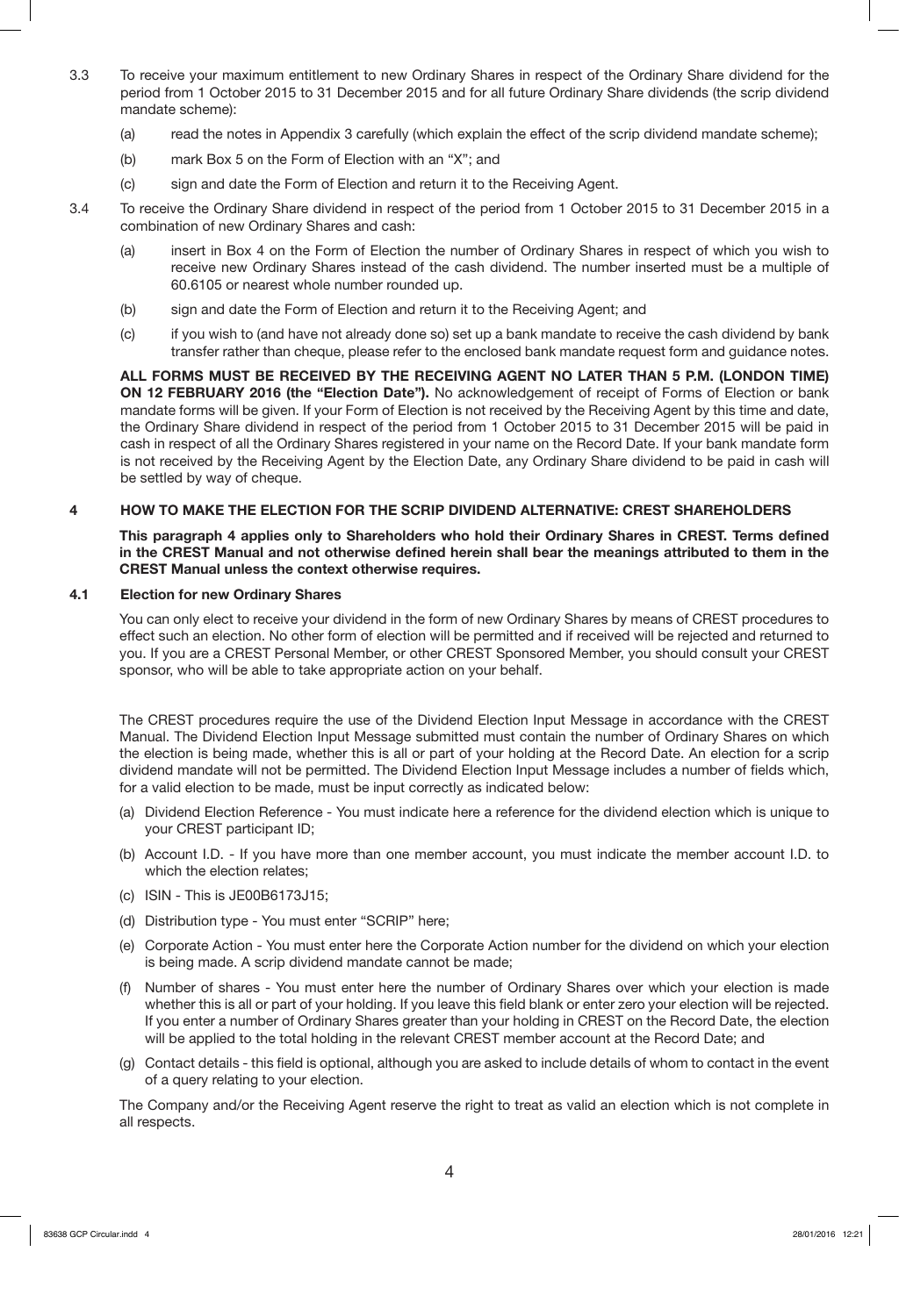- 3.3 To receive your maximum entitlement to new Ordinary Shares in respect of the Ordinary Share dividend for the period from 1 October 2015 to 31 December 2015 and for all future Ordinary Share dividends (the scrip dividend mandate scheme):
	- (a) read the notes in Appendix 3 carefully (which explain the effect of the scrip dividend mandate scheme);
	- (b) mark Box 5 on the Form of Election with an "X"; and
	- (c) sign and date the Form of Election and return it to the Receiving Agent.
- 3.4 To receive the Ordinary Share dividend in respect of the period from 1 October 2015 to 31 December 2015 in a combination of new Ordinary Shares and cash:
	- (a) insert in Box 4 on the Form of Election the number of Ordinary Shares in respect of which you wish to receive new Ordinary Shares instead of the cash dividend. The number inserted must be a multiple of 60.6105 or nearest whole number rounded up.
	- (b) sign and date the Form of Election and return it to the Receiving Agent; and
	- (c) if you wish to (and have not already done so) set up a bank mandate to receive the cash dividend by bank transfer rather than cheque, please refer to the enclosed bank mandate request form and guidance notes.

**ALL FORMS MUST BE RECEIVED BY THE RECEIVING AGENT NO LATER THAN 5 P.M. (LONDON TIME) ON 12 FEBRUARY 2016 (the "Election Date").** No acknowledgement of receipt of Forms of Election or bank mandate forms will be given. If your Form of Election is not received by the Receiving Agent by this time and date, the Ordinary Share dividend in respect of the period from 1 October 2015 to 31 December 2015 will be paid in cash in respect of all the Ordinary Shares registered in your name on the Record Date. If your bank mandate form is not received by the Receiving Agent by the Election Date, any Ordinary Share dividend to be paid in cash will be settled by way of cheque.

## **4 HOW TO MAKE THE ELECTION FOR THE SCRIP DIVIDEND ALTERNATIVE: CREST SHAREHOLDERS**

**This paragraph 4 applies only to Shareholders who hold their Ordinary Shares in CREST. Terms defined in the CREST Manual and not otherwise defined herein shall bear the meanings attributed to them in the CREST Manual unless the context otherwise requires.** 

#### **4.1 Election for new Ordinary Shares**

You can only elect to receive your dividend in the form of new Ordinary Shares by means of CREST procedures to effect such an election. No other form of election will be permitted and if received will be rejected and returned to you. If you are a CREST Personal Member, or other CREST Sponsored Member, you should consult your CREST sponsor, who will be able to take appropriate action on your behalf.

The CREST procedures require the use of the Dividend Election Input Message in accordance with the CREST Manual. The Dividend Election Input Message submitted must contain the number of Ordinary Shares on which the election is being made, whether this is all or part of your holding at the Record Date. An election for a scrip dividend mandate will not be permitted. The Dividend Election Input Message includes a number of fields which, for a valid election to be made, must be input correctly as indicated below:

- (a) Dividend Election Reference You must indicate here a reference for the dividend election which is unique to your CREST participant ID;
- (b) Account I.D. If you have more than one member account, you must indicate the member account I.D. to which the election relates;
- (c) ISIN This is JE00B6173J15;
- (d) Distribution type You must enter "SCRIP" here;
- (e) Corporate Action You must enter here the Corporate Action number for the dividend on which your election is being made. A scrip dividend mandate cannot be made;
- (f) Number of shares You must enter here the number of Ordinary Shares over which your election is made whether this is all or part of your holding. If you leave this field blank or enter zero your election will be rejected. If you enter a number of Ordinary Shares greater than your holding in CREST on the Record Date, the election will be applied to the total holding in the relevant CREST member account at the Record Date; and
- (g) Contact details this field is optional, although you are asked to include details of whom to contact in the event of a query relating to your election.

The Company and/or the Receiving Agent reserve the right to treat as valid an election which is not complete in all respects.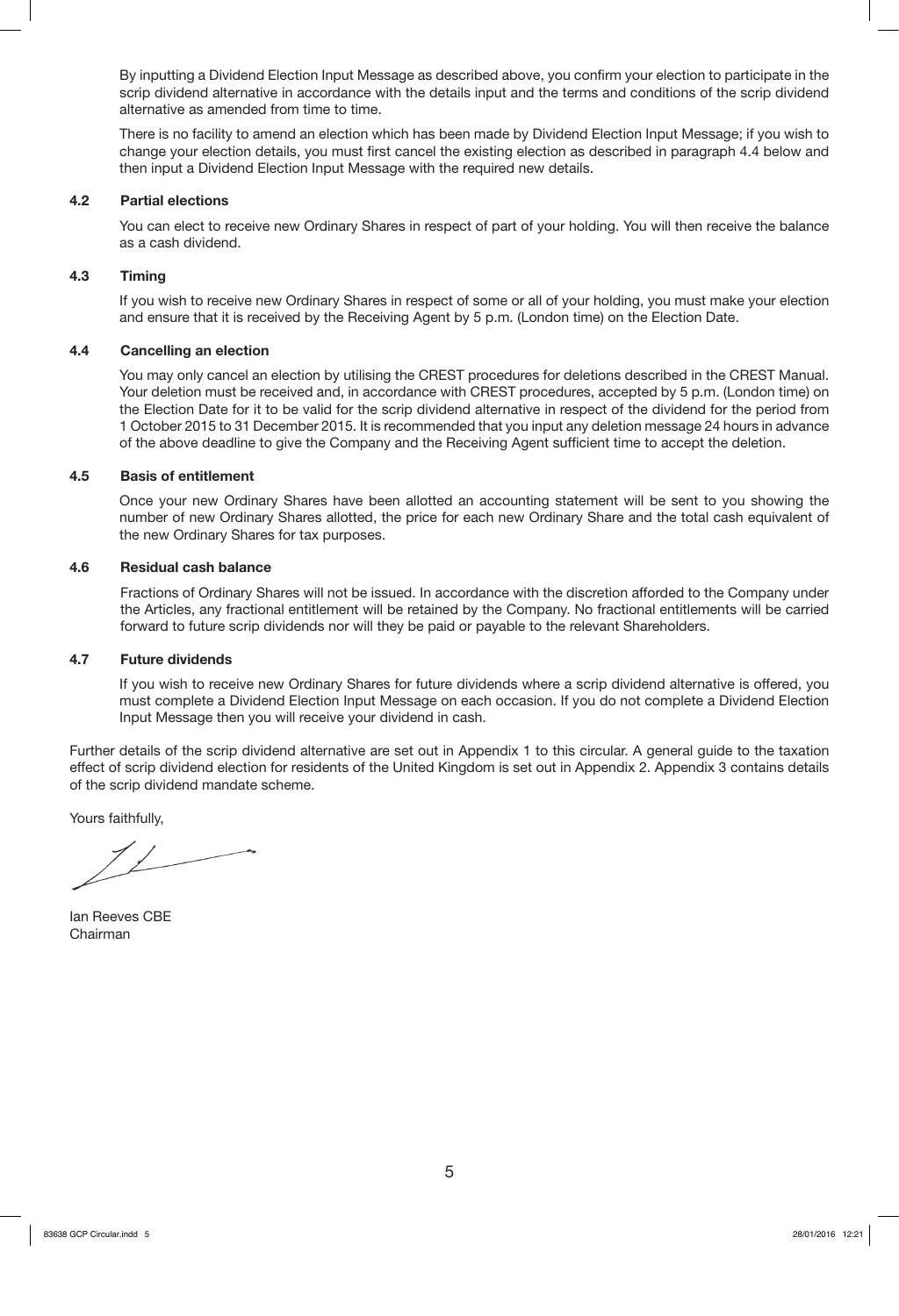By inputting a Dividend Election Input Message as described above, you confirm your election to participate in the scrip dividend alternative in accordance with the details input and the terms and conditions of the scrip dividend alternative as amended from time to time.

There is no facility to amend an election which has been made by Dividend Election Input Message; if you wish to change your election details, you must first cancel the existing election as described in paragraph 4.4 below and then input a Dividend Election Input Message with the required new details.

#### **4.2 Partial elections**

You can elect to receive new Ordinary Shares in respect of part of your holding. You will then receive the balance as a cash dividend.

#### **4.3 Timing**

If you wish to receive new Ordinary Shares in respect of some or all of your holding, you must make your election and ensure that it is received by the Receiving Agent by 5 p.m. (London time) on the Election Date.

#### **4.4 Cancelling an election**

You may only cancel an election by utilising the CREST procedures for deletions described in the CREST Manual. Your deletion must be received and, in accordance with CREST procedures, accepted by 5 p.m. (London time) on the Election Date for it to be valid for the scrip dividend alternative in respect of the dividend for the period from 1 October 2015 to 31 December 2015. It is recommended that you input any deletion message 24 hours in advance of the above deadline to give the Company and the Receiving Agent sufficient time to accept the deletion.

#### **4.5 Basis of entitlement**

Once your new Ordinary Shares have been allotted an accounting statement will be sent to you showing the number of new Ordinary Shares allotted, the price for each new Ordinary Share and the total cash equivalent of the new Ordinary Shares for tax purposes.

#### **4.6 Residual cash balance**

Fractions of Ordinary Shares will not be issued. In accordance with the discretion afforded to the Company under the Articles, any fractional entitlement will be retained by the Company. No fractional entitlements will be carried forward to future scrip dividends nor will they be paid or payable to the relevant Shareholders.

#### **4.7 Future dividends**

If you wish to receive new Ordinary Shares for future dividends where a scrip dividend alternative is offered, you must complete a Dividend Election Input Message on each occasion. If you do not complete a Dividend Election Input Message then you will receive your dividend in cash.

Further details of the scrip dividend alternative are set out in Appendix 1 to this circular. A general guide to the taxation effect of scrip dividend election for residents of the United Kingdom is set out in Appendix 2. Appendix 3 contains details of the scrip dividend mandate scheme.

Yours faithfully,

Ian Reeves CBE Chairman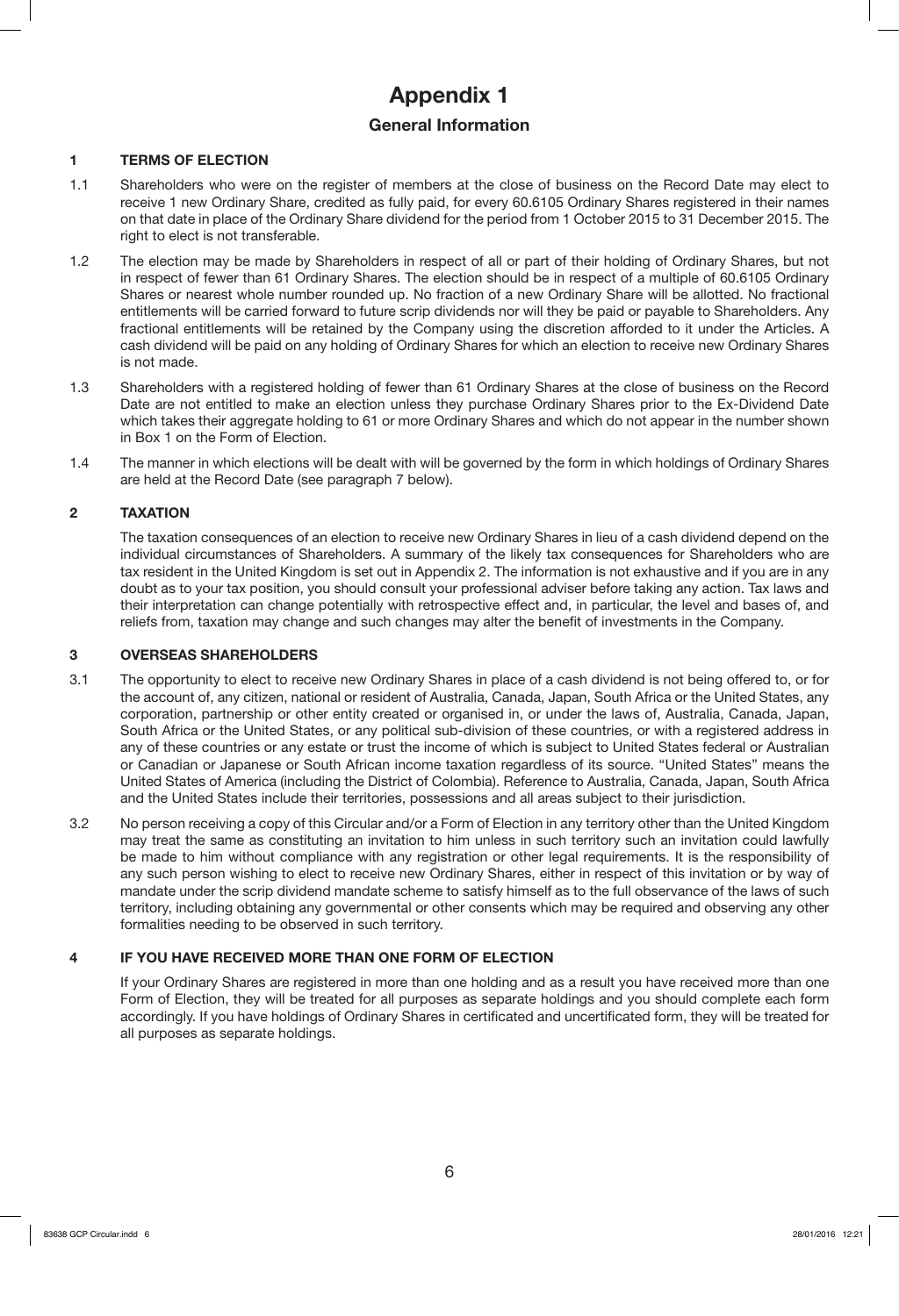# **Appendix 1**

## **General Information**

## **1 TERMS OF ELECTION**

- 1.1 Shareholders who were on the register of members at the close of business on the Record Date may elect to receive 1 new Ordinary Share, credited as fully paid, for every 60.6105 Ordinary Shares registered in their names on that date in place of the Ordinary Share dividend for the period from 1 October 2015 to 31 December 2015. The right to elect is not transferable.
- 1.2 The election may be made by Shareholders in respect of all or part of their holding of Ordinary Shares, but not in respect of fewer than 61 Ordinary Shares. The election should be in respect of a multiple of 60.6105 Ordinary Shares or nearest whole number rounded up. No fraction of a new Ordinary Share will be allotted. No fractional entitlements will be carried forward to future scrip dividends nor will they be paid or payable to Shareholders. Any fractional entitlements will be retained by the Company using the discretion afforded to it under the Articles. A cash dividend will be paid on any holding of Ordinary Shares for which an election to receive new Ordinary Shares is not made.
- 1.3 Shareholders with a registered holding of fewer than 61 Ordinary Shares at the close of business on the Record Date are not entitled to make an election unless they purchase Ordinary Shares prior to the Ex-Dividend Date which takes their aggregate holding to 61 or more Ordinary Shares and which do not appear in the number shown in Box 1 on the Form of Election.
- 1.4 The manner in which elections will be dealt with will be governed by the form in which holdings of Ordinary Shares are held at the Record Date (see paragraph 7 below).

## **2 TAXATION**

 The taxation consequences of an election to receive new Ordinary Shares in lieu of a cash dividend depend on the individual circumstances of Shareholders. A summary of the likely tax consequences for Shareholders who are tax resident in the United Kingdom is set out in Appendix 2. The information is not exhaustive and if you are in any doubt as to your tax position, you should consult your professional adviser before taking any action. Tax laws and their interpretation can change potentially with retrospective effect and, in particular, the level and bases of, and reliefs from, taxation may change and such changes may alter the benefit of investments in the Company.

## **3 OVERSEAS SHAREHOLDERS**

- 3.1 The opportunity to elect to receive new Ordinary Shares in place of a cash dividend is not being offered to, or for the account of, any citizen, national or resident of Australia, Canada, Japan, South Africa or the United States, any corporation, partnership or other entity created or organised in, or under the laws of, Australia, Canada, Japan, South Africa or the United States, or any political sub-division of these countries, or with a registered address in any of these countries or any estate or trust the income of which is subject to United States federal or Australian or Canadian or Japanese or South African income taxation regardless of its source. "United States" means the United States of America (including the District of Colombia). Reference to Australia, Canada, Japan, South Africa and the United States include their territories, possessions and all areas subject to their jurisdiction.
- 3.2 No person receiving a copy of this Circular and/or a Form of Election in any territory other than the United Kingdom may treat the same as constituting an invitation to him unless in such territory such an invitation could lawfully be made to him without compliance with any registration or other legal requirements. It is the responsibility of any such person wishing to elect to receive new Ordinary Shares, either in respect of this invitation or by way of mandate under the scrip dividend mandate scheme to satisfy himself as to the full observance of the laws of such territory, including obtaining any governmental or other consents which may be required and observing any other formalities needing to be observed in such territory.

## **4 IF YOU HAVE RECEIVED MORE THAN ONE FORM OF ELECTION**

If your Ordinary Shares are registered in more than one holding and as a result you have received more than one Form of Election, they will be treated for all purposes as separate holdings and you should complete each form accordingly. If you have holdings of Ordinary Shares in certificated and uncertificated form, they will be treated for all purposes as separate holdings.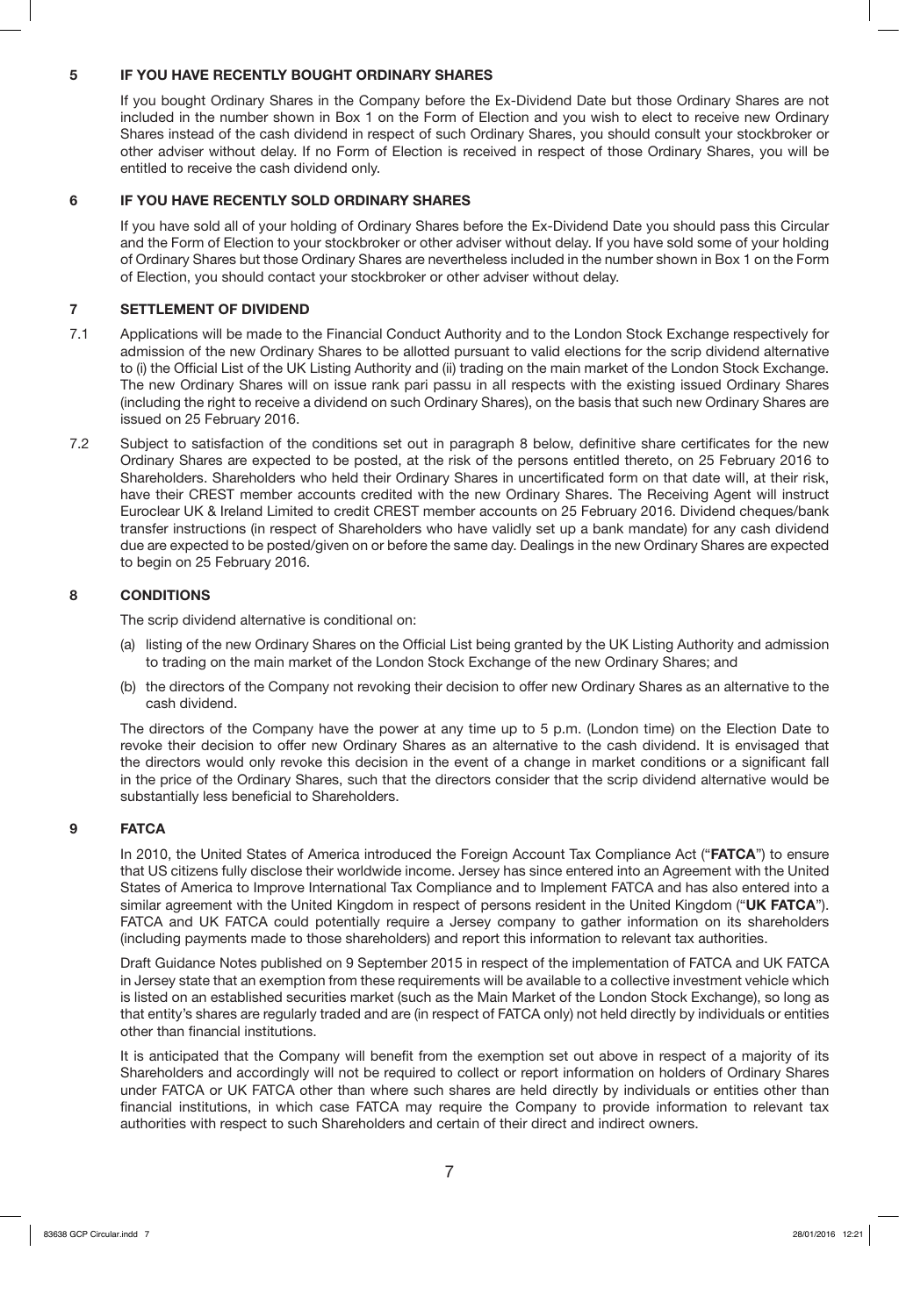## **5 IF YOU HAVE RECENTLY BOUGHT ORDINARY SHARES**

If you bought Ordinary Shares in the Company before the Ex-Dividend Date but those Ordinary Shares are not included in the number shown in Box 1 on the Form of Election and you wish to elect to receive new Ordinary Shares instead of the cash dividend in respect of such Ordinary Shares, you should consult your stockbroker or other adviser without delay. If no Form of Election is received in respect of those Ordinary Shares, you will be entitled to receive the cash dividend only.

## **6 IF YOU HAVE RECENTLY SOLD ORDINARY SHARES**

If you have sold all of your holding of Ordinary Shares before the Ex-Dividend Date you should pass this Circular and the Form of Election to your stockbroker or other adviser without delay. If you have sold some of your holding of Ordinary Shares but those Ordinary Shares are nevertheless included in the number shown in Box 1 on the Form of Election, you should contact your stockbroker or other adviser without delay.

## **7 SETTLEMENT OF DIVIDEND**

- 7.1 Applications will be made to the Financial Conduct Authority and to the London Stock Exchange respectively for admission of the new Ordinary Shares to be allotted pursuant to valid elections for the scrip dividend alternative to (i) the Official List of the UK Listing Authority and (ii) trading on the main market of the London Stock Exchange. The new Ordinary Shares will on issue rank pari passu in all respects with the existing issued Ordinary Shares (including the right to receive a dividend on such Ordinary Shares), on the basis that such new Ordinary Shares are issued on 25 February 2016.
- 7.2 Subject to satisfaction of the conditions set out in paragraph 8 below, definitive share certificates for the new Ordinary Shares are expected to be posted, at the risk of the persons entitled thereto, on 25 February 2016 to Shareholders. Shareholders who held their Ordinary Shares in uncertificated form on that date will, at their risk, have their CREST member accounts credited with the new Ordinary Shares. The Receiving Agent will instruct Euroclear UK & Ireland Limited to credit CREST member accounts on 25 February 2016. Dividend cheques/bank transfer instructions (in respect of Shareholders who have validly set up a bank mandate) for any cash dividend due are expected to be posted/given on or before the same day. Dealings in the new Ordinary Shares are expected to begin on 25 February 2016.

## **8 CONDITIONS**

The scrip dividend alternative is conditional on:

- (a) listing of the new Ordinary Shares on the Official List being granted by the UK Listing Authority and admission to trading on the main market of the London Stock Exchange of the new Ordinary Shares; and
- (b) the directors of the Company not revoking their decision to offer new Ordinary Shares as an alternative to the cash dividend.

The directors of the Company have the power at any time up to 5 p.m. (London time) on the Election Date to revoke their decision to offer new Ordinary Shares as an alternative to the cash dividend. It is envisaged that the directors would only revoke this decision in the event of a change in market conditions or a significant fall in the price of the Ordinary Shares, such that the directors consider that the scrip dividend alternative would be substantially less beneficial to Shareholders.

## **9 FATCA**

In 2010, the United States of America introduced the Foreign Account Tax Compliance Act ("**FATCA**") to ensure that US citizens fully disclose their worldwide income. Jersey has since entered into an Agreement with the United States of America to Improve International Tax Compliance and to Implement FATCA and has also entered into a similar agreement with the United Kingdom in respect of persons resident in the United Kingdom ("**UK FATCA**"). FATCA and UK FATCA could potentially require a Jersey company to gather information on its shareholders (including payments made to those shareholders) and report this information to relevant tax authorities.

Draft Guidance Notes published on 9 September 2015 in respect of the implementation of FATCA and UK FATCA in Jersey state that an exemption from these requirements will be available to a collective investment vehicle which is listed on an established securities market (such as the Main Market of the London Stock Exchange), so long as that entity's shares are regularly traded and are (in respect of FATCA only) not held directly by individuals or entities other than financial institutions.

It is anticipated that the Company will benefit from the exemption set out above in respect of a majority of its Shareholders and accordingly will not be required to collect or report information on holders of Ordinary Shares under FATCA or UK FATCA other than where such shares are held directly by individuals or entities other than financial institutions, in which case FATCA may require the Company to provide information to relevant tax authorities with respect to such Shareholders and certain of their direct and indirect owners.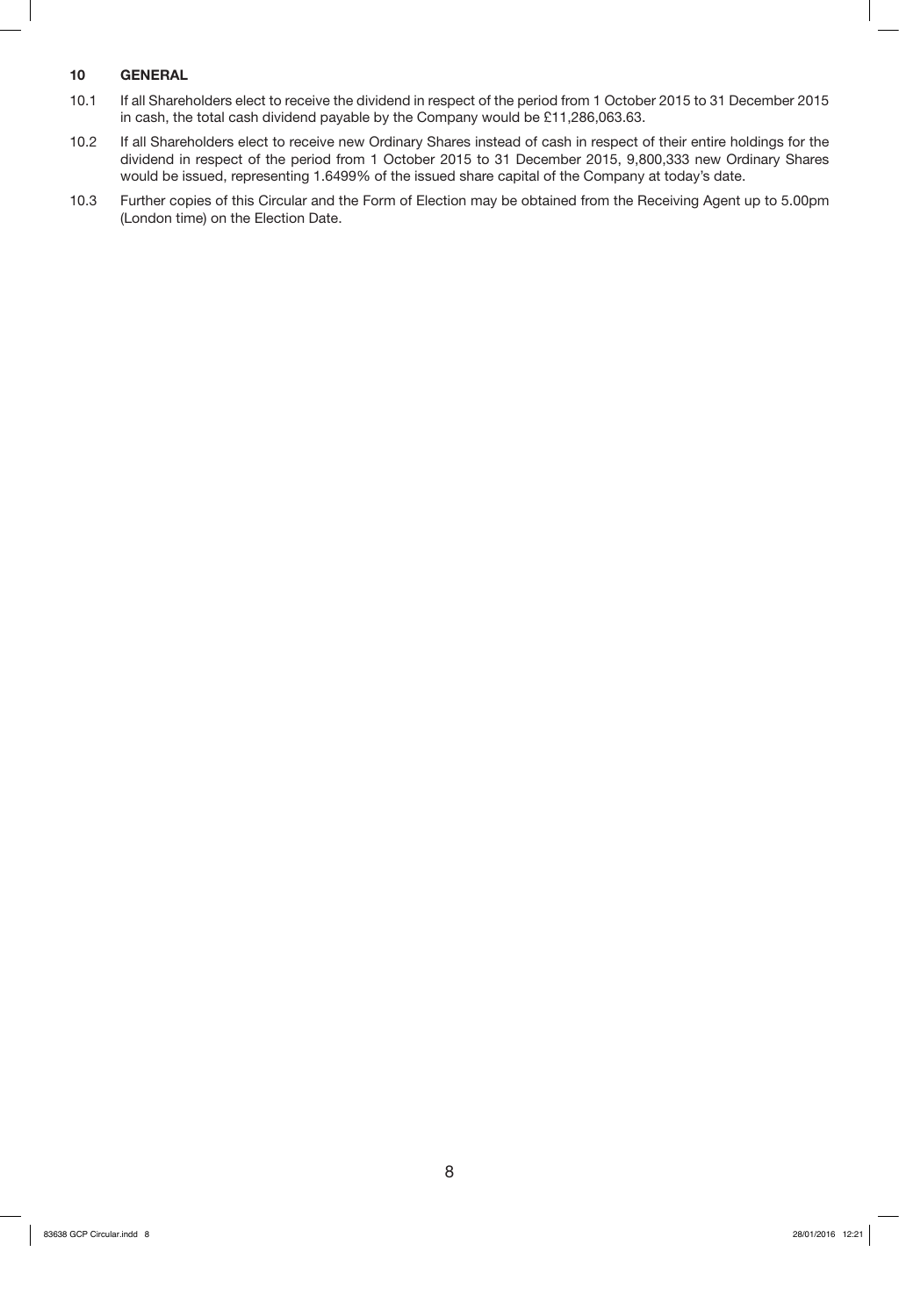## **10 GENERAL**

- 10.1 If all Shareholders elect to receive the dividend in respect of the period from 1 October 2015 to 31 December 2015 in cash, the total cash dividend payable by the Company would be £11,286,063.63.
- 10.2 If all Shareholders elect to receive new Ordinary Shares instead of cash in respect of their entire holdings for the dividend in respect of the period from 1 October 2015 to 31 December 2015, 9,800,333 new Ordinary Shares would be issued, representing 1.6499% of the issued share capital of the Company at today's date.
- 10.3 Further copies of this Circular and the Form of Election may be obtained from the Receiving Agent up to 5.00pm (London time) on the Election Date.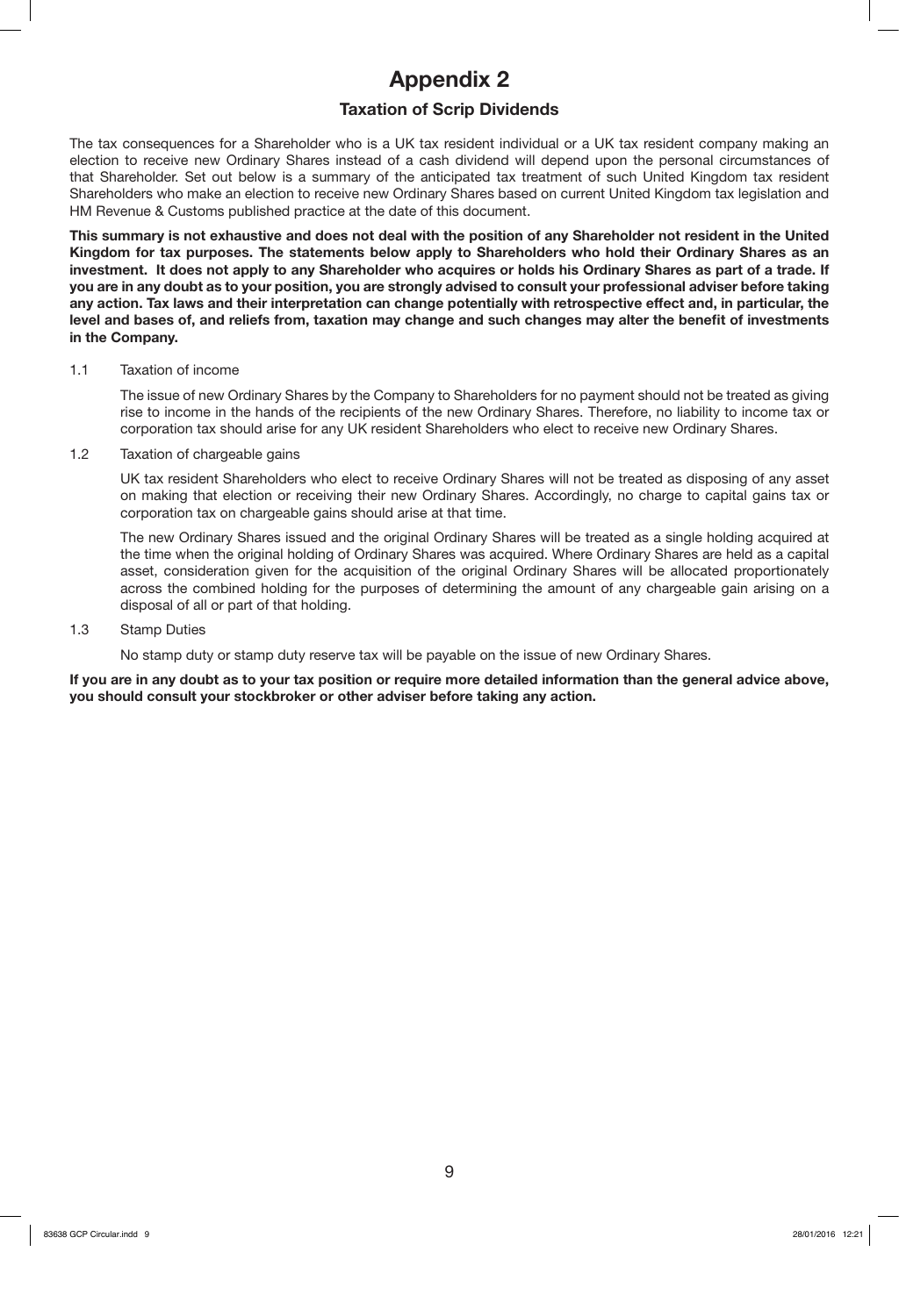# **Appendix 2**

## **Taxation of Scrip Dividends**

The tax consequences for a Shareholder who is a UK tax resident individual or a UK tax resident company making an election to receive new Ordinary Shares instead of a cash dividend will depend upon the personal circumstances of that Shareholder. Set out below is a summary of the anticipated tax treatment of such United Kingdom tax resident Shareholders who make an election to receive new Ordinary Shares based on current United Kingdom tax legislation and HM Revenue & Customs published practice at the date of this document.

**This summary is not exhaustive and does not deal with the position of any Shareholder not resident in the United Kingdom for tax purposes. The statements below apply to Shareholders who hold their Ordinary Shares as an investment. It does not apply to any Shareholder who acquires or holds his Ordinary Shares as part of a trade. If you are in any doubt as to your position, you are strongly advised to consult your professional adviser before taking any action. Tax laws and their interpretation can change potentially with retrospective effect and, in particular, the level and bases of, and reliefs from, taxation may change and such changes may alter the benefit of investments in the Company.**

#### 1.1 Taxation of income

The issue of new Ordinary Shares by the Company to Shareholders for no payment should not be treated as giving rise to income in the hands of the recipients of the new Ordinary Shares. Therefore, no liability to income tax or corporation tax should arise for any UK resident Shareholders who elect to receive new Ordinary Shares.

1.2 Taxation of chargeable gains

UK tax resident Shareholders who elect to receive Ordinary Shares will not be treated as disposing of any asset on making that election or receiving their new Ordinary Shares. Accordingly, no charge to capital gains tax or corporation tax on chargeable gains should arise at that time.

The new Ordinary Shares issued and the original Ordinary Shares will be treated as a single holding acquired at the time when the original holding of Ordinary Shares was acquired. Where Ordinary Shares are held as a capital asset, consideration given for the acquisition of the original Ordinary Shares will be allocated proportionately across the combined holding for the purposes of determining the amount of any chargeable gain arising on a disposal of all or part of that holding.

## 1.3 Stamp Duties

No stamp duty or stamp duty reserve tax will be payable on the issue of new Ordinary Shares.

**If you are in any doubt as to your tax position or require more detailed information than the general advice above, you should consult your stockbroker or other adviser before taking any action.**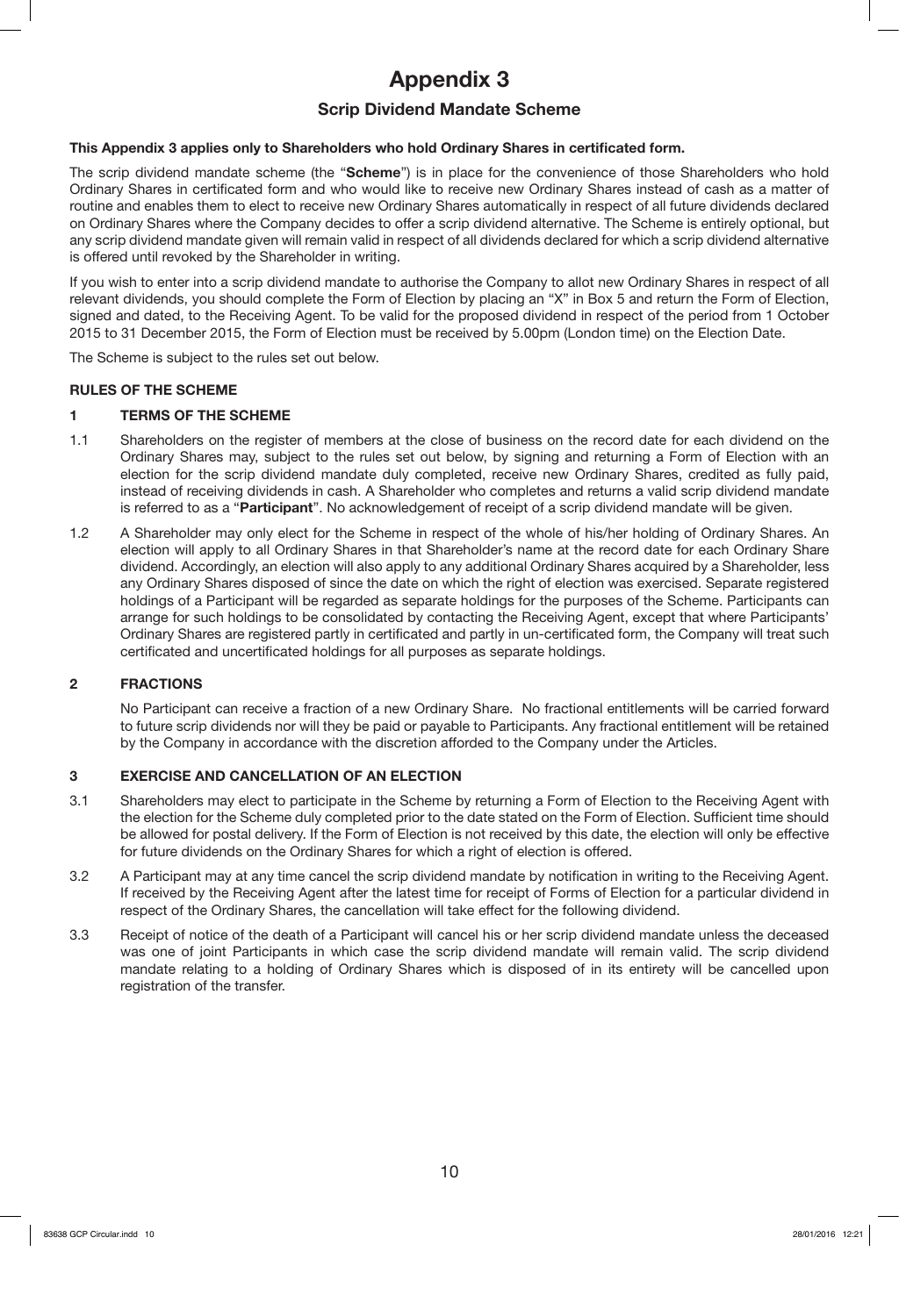# **Appendix 3**

## **Scrip Dividend Mandate Scheme**

## **This Appendix 3 applies only to Shareholders who hold Ordinary Shares in certificated form.**

The scrip dividend mandate scheme (the "**Scheme**") is in place for the convenience of those Shareholders who hold Ordinary Shares in certificated form and who would like to receive new Ordinary Shares instead of cash as a matter of routine and enables them to elect to receive new Ordinary Shares automatically in respect of all future dividends declared on Ordinary Shares where the Company decides to offer a scrip dividend alternative. The Scheme is entirely optional, but any scrip dividend mandate given will remain valid in respect of all dividends declared for which a scrip dividend alternative is offered until revoked by the Shareholder in writing.

If you wish to enter into a scrip dividend mandate to authorise the Company to allot new Ordinary Shares in respect of all relevant dividends, you should complete the Form of Election by placing an "X" in Box 5 and return the Form of Election, signed and dated, to the Receiving Agent. To be valid for the proposed dividend in respect of the period from 1 October 2015 to 31 December 2015, the Form of Election must be received by 5.00pm (London time) on the Election Date.

The Scheme is subject to the rules set out below.

## **RULES OF THE SCHEME**

## **1 TERMS OF THE SCHEME**

- 1.1 Shareholders on the register of members at the close of business on the record date for each dividend on the Ordinary Shares may, subject to the rules set out below, by signing and returning a Form of Election with an election for the scrip dividend mandate duly completed, receive new Ordinary Shares, credited as fully paid, instead of receiving dividends in cash. A Shareholder who completes and returns a valid scrip dividend mandate is referred to as a "**Participant**". No acknowledgement of receipt of a scrip dividend mandate will be given.
- 1.2 A Shareholder may only elect for the Scheme in respect of the whole of his/her holding of Ordinary Shares. An election will apply to all Ordinary Shares in that Shareholder's name at the record date for each Ordinary Share dividend. Accordingly, an election will also apply to any additional Ordinary Shares acquired by a Shareholder, less any Ordinary Shares disposed of since the date on which the right of election was exercised. Separate registered holdings of a Participant will be regarded as separate holdings for the purposes of the Scheme. Participants can arrange for such holdings to be consolidated by contacting the Receiving Agent, except that where Participants' Ordinary Shares are registered partly in certificated and partly in un-certificated form, the Company will treat such certificated and uncertificated holdings for all purposes as separate holdings.

## **2 FRACTIONS**

No Participant can receive a fraction of a new Ordinary Share. No fractional entitlements will be carried forward to future scrip dividends nor will they be paid or payable to Participants. Any fractional entitlement will be retained by the Company in accordance with the discretion afforded to the Company under the Articles.

## **3 EXERCISE AND CANCELLATION OF AN ELECTION**

- 3.1 Shareholders may elect to participate in the Scheme by returning a Form of Election to the Receiving Agent with the election for the Scheme duly completed prior to the date stated on the Form of Election. Sufficient time should be allowed for postal delivery. If the Form of Election is not received by this date, the election will only be effective for future dividends on the Ordinary Shares for which a right of election is offered.
- 3.2 A Participant may at any time cancel the scrip dividend mandate by notification in writing to the Receiving Agent. If received by the Receiving Agent after the latest time for receipt of Forms of Election for a particular dividend in respect of the Ordinary Shares, the cancellation will take effect for the following dividend.
- 3.3 Receipt of notice of the death of a Participant will cancel his or her scrip dividend mandate unless the deceased was one of joint Participants in which case the scrip dividend mandate will remain valid. The scrip dividend mandate relating to a holding of Ordinary Shares which is disposed of in its entirety will be cancelled upon registration of the transfer.